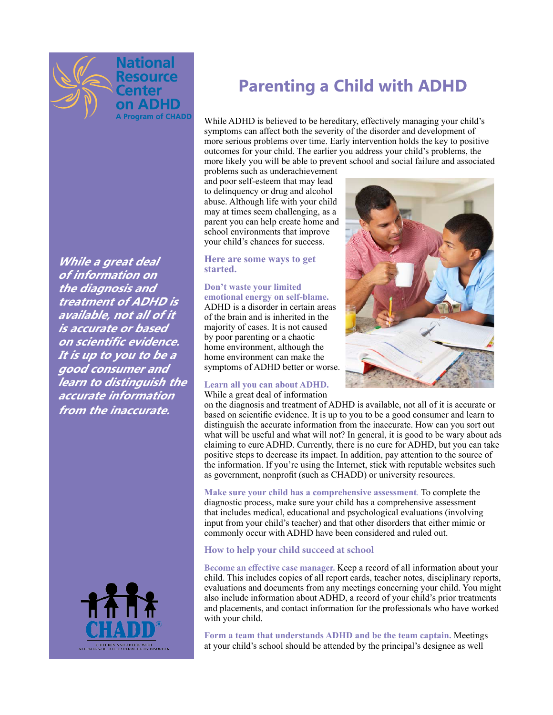

**While a great deal of information on the diagnosis and treatment of ADHD is available, not all of it is accurate or based on scientifc evidence. It is up to you to be a good consumer and learn to distinguish the accurate information from the inaccurate.**



# **Parenting a Child with ADHD**

While ADHD is believed to be hereditary, effectively managing your child's symptoms can affect both the severity of the disorder and development of more serious problems over time. Early intervention holds the key to positive outcomes for your child. The earlier you address your child's problems, the more likely you will be able to prevent school and social failure and associated

problems such as underachievement and poor self-esteem that may lead to delinquency or drug and alcohol abuse. Although life with your child may at times seem challenging, as a parent you can help create home and school environments that improve your child's chances for success.

## **Here are some ways to get started.**

**Don't waste your limited emotional energy on self-blame.**  ADHD is a disorder in certain areas of the brain and is inherited in the majority of cases. It is not caused by poor parenting or a chaotic home environment, although the home environment can make the symptoms of ADHD better or worse.

## **Learn all you can about ADHD.**

While a great deal of information



on the diagnosis and treatment of ADHD is available, not all of it is accurate or based on scientifc evidence. It is up to you to be a good consumer and learn to distinguish the accurate information from the inaccurate. How can you sort out what will be useful and what will not? In general, it is good to be wary about ads claiming to cure ADHD. Currently, there is no cure for ADHD, but you can take positive steps to decrease its impact. In addition, pay attention to the source of the information. If you're using the Internet, stick with reputable websites such as government, nonproft (such as CHADD) or university resources.

**Make sure your child has a comprehensive assessment**. To complete the diagnostic process, make sure your child has a comprehensive assessment that includes medical, educational and psychological evaluations (involving input from your child's teacher) and that other disorders that either mimic or commonly occur with ADHD have been considered and ruled out.

## **How to help your child succeed at school**

**Become an efective case manager.** Keep a record of all information about your child. This includes copies of all report cards, teacher notes, disciplinary reports, evaluations and documents from any meetings concerning your child. You might also include information about ADHD, a record of your child's prior treatments and placements, and contact information for the professionals who have worked with your child.

**Form a team that understands ADHD and be the team captain.** Meetings at your child's school should be attended by the principal's designee as well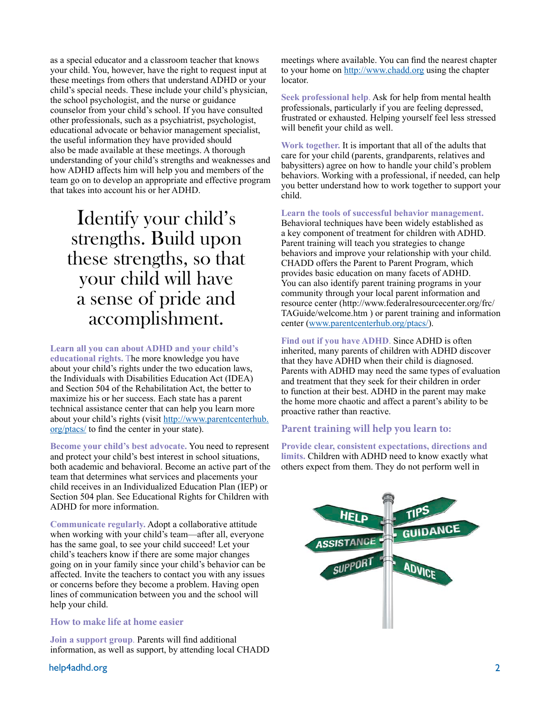as a special educator and a classroom teacher that knows your child. You, however, have the right to request input at these meetings from others that understand ADHD or your child's special needs. These include your child's physician, the school psychologist, and the nurse or guidance counselor from your child's school. If you have consulted other professionals, such as a psychiatrist, psychologist, educational advocate or behavior management specialist, the useful information they have provided should also be made available at these meetings. A thorough understanding of your child's strengths and weaknesses and how ADHD affects him will help you and members of the team go on to develop an appropriate and effective program that takes into account his or her ADHD.

# Identify your child's strengths. Build upon these strengths, so that your child will have a sense of pride and accomplishment.

**Learn all you can about ADHD and your child's educational rights.** The more knowledge you have about your child's rights under the two education laws, the Individuals with Disabilities Education Act (IDEA) and Section 504 of the Rehabilitation Act, the better to maximize his or her success. Each state has a parent technical assistance center that can help you learn more about your child's rights (visit http://www.parentcenterhub. org/ptacs/ to fnd the center in your state).

**Become your child's best advocate.** You need to represent and protect your child's best interest in school situations, both academic and behavioral. Become an active part of the team that determines what services and placements your child receives in an Individualized Education Plan (IEP) or Section 504 plan. See Educational Rights for Children with ADHD for more information.

**Communicate regularly.** Adopt a collaborative attitude when working with your child's team—after all, everyone has the same goal, to see your child succeed! Let your child's teachers know if there are some major changes going on in your family since your child's behavior can be affected. Invite the teachers to contact you with any issues or concerns before they become a problem. Having open lines of communication between you and the school will help your child.

## **How to make life at home easier**

**Join a support group**. Parents will fnd additional information, as well as support, by attending local CHADD meetings where available. You can fnd the nearest chapter to your home on http://www.chadd.org using the chapter locator.

**Seek professional help**. Ask for help from mental health professionals, particularly if you are feeling depressed, frustrated or exhausted. Helping yourself feel less stressed will beneft your child as well.

**Work together.** It is important that all of the adults that care for your child (parents, grandparents, relatives and babysitters) agree on how to handle your child's problem behaviors. Working with a professional, if needed, can help you better understand how to work together to support your child.

**Learn the tools of successful behavior management.**  Behavioral techniques have been widely established as a key component of treatment for children with ADHD. Parent training will teach you strategies to change behaviors and improve your relationship with your child. CHADD offers the Parent to Parent Program, which provides basic education on many facets of ADHD. You can also identify parent training programs in your community through your local parent information and resource center (http://www.federalresourcecenter.org/frc/ TAGuide/welcome.htm ) or parent training and information center (www.parentcenterhub.org/ptacs/).

**Find out if you have ADHD**. Since ADHD is often inherited, many parents of children with ADHD discover that they have ADHD when their child is diagnosed. Parents with ADHD may need the same types of evaluation and treatment that they seek for their children in order to function at their best. ADHD in the parent may make the home more chaotic and affect a parent's ability to be proactive rather than reactive.

## **Parent training will help you learn to:**

**Provide clear, consistent expectations, directions and limits.** Children with ADHD need to know exactly what others expect from them. They do not perform well in